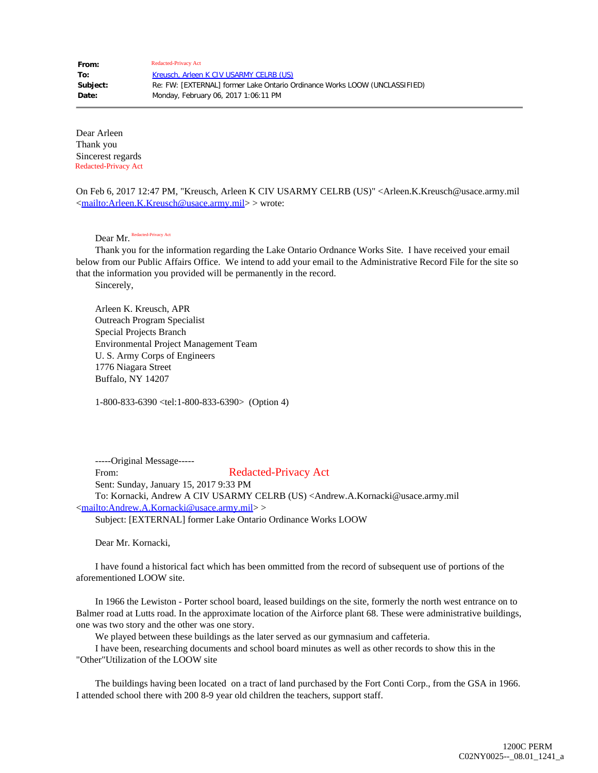Dear Arleen Thank you Sincerest regards Redacted-Privacy Act

On Feb 6, 2017 12:47 PM, "Kreusch, Arleen K CIV USARMY CELRB (US)" <Arleen.K.Kreusch@usace.army.mil [<mailto:Arleen.K.Kreusch@usace.army.mil](mailto:Arleen.K.Kreusch@usace.army.mil)> > wrote:

Dear Mr. Redacted-Privacy Act

 Thank you for the information regarding the Lake Ontario Ordnance Works Site. I have received your email below from our Public Affairs Office. We intend to add your email to the Administrative Record File for the site so that the information you provided will be permanently in the record.

Sincerely,

 Arleen K. Kreusch, APR Outreach Program Specialist Special Projects Branch Environmental Project Management Team U. S. Army Corps of Engineers 1776 Niagara Street Buffalo, NY 14207

1-800-833-6390 <tel:1-800-833-6390> (Option 4)

 -----Original Message----- From: Sent: Sunday, January 15, 2017 9:33 PM To: Kornacki, Andrew A CIV USARMY CELRB (US) <Andrew.A.Kornacki@usace.army.mil [<mailto:Andrew.A.Kornacki@usace.army.mil](mailto:Andrew.A.Kornacki@usace.army.mil)> > Subject: [EXTERNAL] former Lake Ontario Ordinance Works LOOW Redacted-Privacy Act

Dear Mr. Kornacki,

 I have found a historical fact which has been ommitted from the record of subsequent use of portions of the aforementioned LOOW site.

 In 1966 the Lewiston - Porter school board, leased buildings on the site, formerly the north west entrance on to Balmer road at Lutts road. In the approximate location of the Airforce plant 68. These were administrative buildings, one was two story and the other was one story.

We played between these buildings as the later served as our gymnasium and caffeteria.

 I have been, researching documents and school board minutes as well as other records to show this in the "Other"Utilization of the LOOW site

 The buildings having been located on a tract of land purchased by the Fort Conti Corp., from the GSA in 1966. I attended school there with 200 8-9 year old children the teachers, support staff.